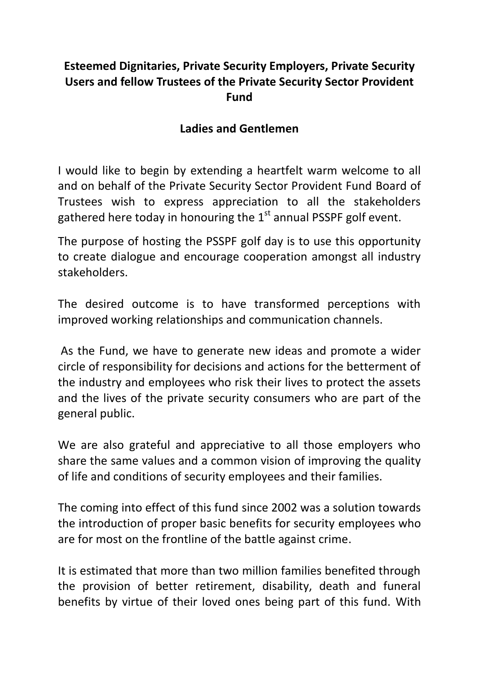## **Esteemed Dignitaries, Private Security Employers, Private Security Users and fellow Trustees of the Private Security Sector Provident Fund**

## **Ladies and Gentlemen**

I would like to begin by extending a heartfelt warm welcome to all and on behalf of the Private Security Sector Provident Fund Board of Trustees wish to express appreciation to all the stakeholders gathered here today in honouring the  $1<sup>st</sup>$  annual PSSPF golf event.

The purpose of hosting the PSSPF golf day is to use this opportunity to create dialogue and encourage cooperation amongst all industry stakeholders.

The desired outcome is to have transformed perceptions with improved working relationships and communication channels.

As the Fund, we have to generate new ideas and promote a wider circle of responsibility for decisions and actions for the betterment of the industry and employees who risk their lives to protect the assets and the lives of the private security consumers who are part of the general public.

We are also grateful and appreciative to all those employers who share the same values and a common vision of improving the quality of life and conditions of security employees and their families.

The coming into effect of this fund since 2002 was a solution towards the introduction of proper basic benefits for security employees who are for most on the frontline of the battle against crime.

It is estimated that more than two million families benefited through the provision of better retirement, disability, death and funeral benefits by virtue of their loved ones being part of this fund. With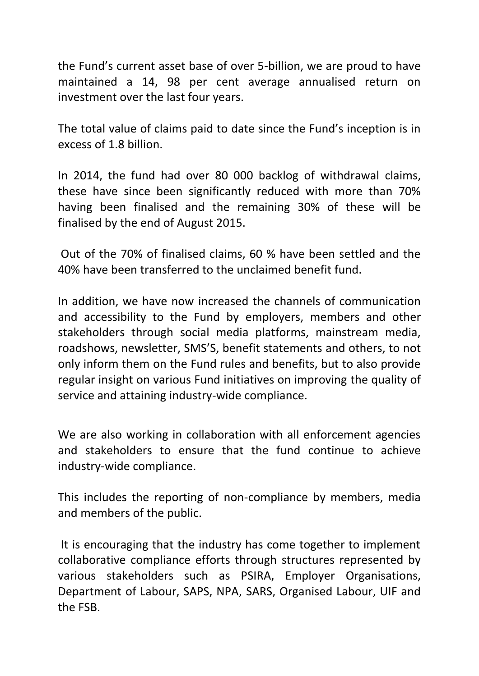the Fund's current asset base of over 5-billion, we are proud to have maintained a 14, 98 per cent average annualised return on investment over the last four years.

The total value of claims paid to date since the Fund's inception is in excess of 1.8 billion.

In 2014, the fund had over 80 000 backlog of withdrawal claims, these have since been significantly reduced with more than 70% having been finalised and the remaining 30% of these will be finalised by the end of August 2015.

Out of the 70% of finalised claims, 60 % have been settled and the 40% have been transferred to the unclaimed benefit fund.

In addition, we have now increased the channels of communication and accessibility to the Fund by employers, members and other stakeholders through social media platforms, mainstream media, roadshows, newsletter, SMS'S, benefit statements and others, to not only inform them on the Fund rules and benefits, but to also provide regular insight on various Fund initiatives on improving the quality of service and attaining industry-wide compliance.

We are also working in collaboration with all enforcement agencies and stakeholders to ensure that the fund continue to achieve industry-wide compliance.

This includes the reporting of non-compliance by members, media and members of the public.

It is encouraging that the industry has come together to implement collaborative compliance efforts through structures represented by various stakeholders such as PSIRA, Employer Organisations, Department of Labour, SAPS, NPA, SARS, Organised Labour, UIF and the FSB.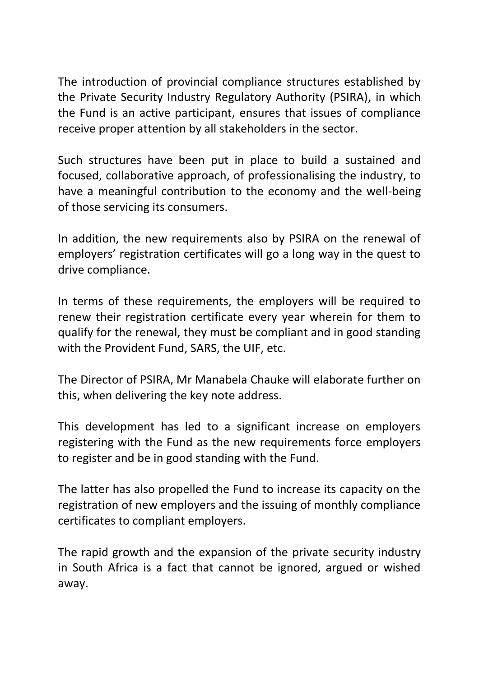The introduction of provincial compliance structures established by the Private Security Industry Regulatory Authority (PSIRA), in which the Fund is an active participant, ensures that issues of compliance receive proper attention by all stakeholders in the sector.

Such structures have been put in place to build a sustained and focused, collaborative approach, of professionalising the industry, to have a meaningful contribution to the economy and the well-being of those servicing its consumers.

In addition, the new requirements also by PSIRA on the renewal of employers' registration certificates will go a long way in the quest to drive compliance.

In terms of these requirements, the employers will be required to renew their registration certificate every year wherein for them to qualify for the renewal, they must be compliant and in good standing with the Provident Fund, SARS, the UIF, etc.

The Director of PSIRA, Mr Manabela Chauke will elaborate further on this, when delivering the key note address.

This development has led to a significant increase on employers registering with the Fund as the new requirements force employers to register and be in good standing with the Fund.

The latter has also propelled the Fund to increase its capacity on the registration of new employers and the issuing of monthly compliance certificates to compliant employers.

The rapid growth and the expansion of the private security industry in South Africa is a fact that cannot be ignored, argued or wished away.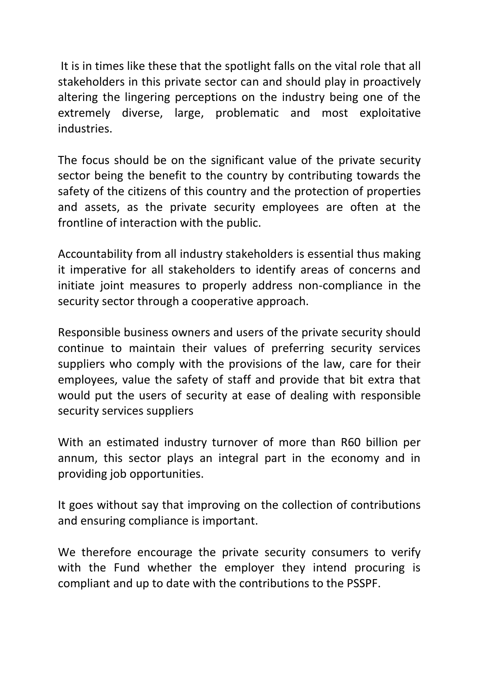It is in times like these that the spotlight falls on the vital role that all stakeholders in this private sector can and should play in proactively altering the lingering perceptions on the industry being one of the extremely diverse, large, problematic and most exploitative industries.

The focus should be on the significant value of the private security sector being the benefit to the country by contributing towards the safety of the citizens of this country and the protection of properties and assets, as the private security employees are often at the frontline of interaction with the public.

Accountability from all industry stakeholders is essential thus making it imperative for all stakeholders to identify areas of concerns and initiate joint measures to properly address non-compliance in the security sector through a cooperative approach.

Responsible business owners and users of the private security should continue to maintain their values of preferring security services suppliers who comply with the provisions of the law, care for their employees, value the safety of staff and provide that bit extra that would put the users of security at ease of dealing with responsible security services suppliers

With an estimated industry turnover of more than R60 billion per annum, this sector plays an integral part in the economy and in providing job opportunities.

It goes without say that improving on the collection of contributions and ensuring compliance is important.

We therefore encourage the private security consumers to verify with the Fund whether the employer they intend procuring is compliant and up to date with the contributions to the PSSPF.